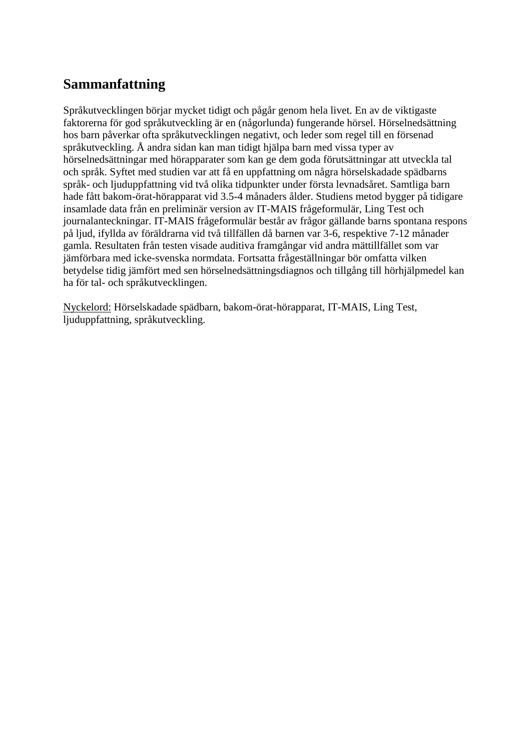## **Sammanfattning**

Språkutvecklingen börjar mycket tidigt och pågår genom hela livet. En av de viktigaste faktorerna för god språkutveckling är en (någorlunda) fungerande hörsel. Hörselnedsättning hos barn påverkar ofta språkutvecklingen negativt, och leder som regel till en försenad språkutveckling. Å andra sidan kan man tidigt hjälpa barn med vissa typer av hörselnedsättningar med hörapparater som kan ge dem goda förutsättningar att utveckla tal och språk. Syftet med studien var att få en uppfattning om några hörselskadade spädbarns språk- och ljuduppfattning vid två olika tidpunkter under första levnadsåret. Samtliga barn hade fått bakom-örat-hörapparat vid 3.5-4 månaders ålder. Studiens metod bygger på tidigare insamlade data från en preliminär version av IT-MAIS frågeformulär, Ling Test och journalanteckningar. IT-MAIS frågeformulär består av frågor gällande barns spontana respons på ljud, ifyllda av föräldrarna vid två tillfällen då barnen var 3-6, respektive 7-12 månader gamla. Resultaten från testen visade auditiva framgångar vid andra mättillfället som var jämförbara med icke-svenska normdata. Fortsatta frågeställningar bör omfatta vilken betydelse tidig jämfört med sen hörselnedsättningsdiagnos och tillgång till hörhjälpmedel kan ha för tal- och språkutvecklingen.

Nyckelord: Hörselskadade spädbarn, bakom-örat-hörapparat, IT-MAIS, Ling Test, ljuduppfattning, språkutveckling.